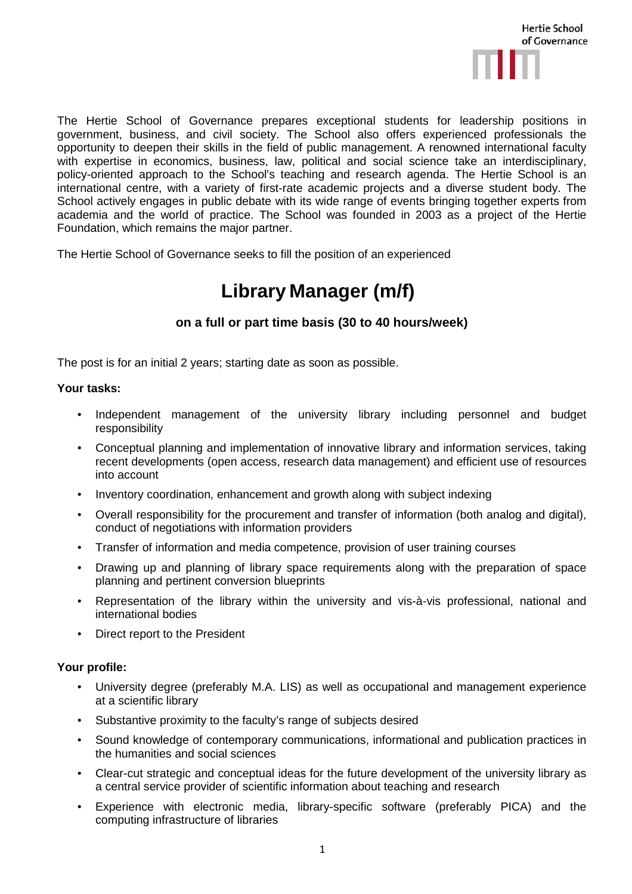

The Hertie School of Governance prepares exceptional students for leadership positions in government, business, and civil society. The School also offers experienced professionals the opportunity to deepen their skills in the field of public management. A renowned international faculty with expertise in economics, business, law, political and social science take an interdisciplinary, policy-oriented approach to the School's teaching and research agenda. The Hertie School is an international centre, with a variety of first-rate academic projects and a diverse student body. The School actively engages in public debate with its wide range of events bringing together experts from academia and the world of practice. The School was founded in 2003 as a project of the Hertie Foundation, which remains the major partner.

The Hertie School of Governance seeks to fill the position of an experienced

## **Library Manager (m/f)**

## **on a full or part time basis (30 to 40 hours/week)**

The post is for an initial 2 years; starting date as soon as possible.

## **Your tasks:**

- Independent management of the university library including personnel and budget responsibility
- Conceptual planning and implementation of innovative library and information services, taking recent developments (open access, research data management) and efficient use of resources into account
- Inventory coordination, enhancement and growth along with subject indexing
- Overall responsibility for the procurement and transfer of information (both analog and digital), conduct of negotiations with information providers
- Transfer of information and media competence, provision of user training courses
- Drawing up and planning of library space requirements along with the preparation of space planning and pertinent conversion blueprints
- Representation of the library within the university and vis-à-vis professional, national and international bodies
- Direct report to the President

## **Your profile:**

- University degree (preferably M.A. LIS) as well as occupational and management experience at a scientific library
- Substantive proximity to the faculty's range of subjects desired
- Sound knowledge of contemporary communications, informational and publication practices in the humanities and social sciences
- Clear-cut strategic and conceptual ideas for the future development of the university library as a central service provider of scientific information about teaching and research
- Experience with electronic media, library-specific software (preferably PICA) and the computing infrastructure of libraries